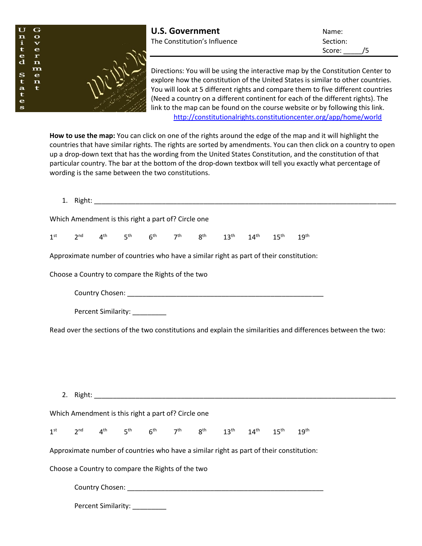

Score: /5

Directions: You will be using the interactive map by the Constitution Center to explore how the constitution of the United States is similar to other countries. You will look at 5 different rights and compare them to five different countries (Need a country on a different continent for each of the different rights). The link to the map can be found on the course website or by following this link. <http://constitutionalrights.constitutioncenter.org/app/home/world>

**How to use the map:** You can click on one of the rights around the edge of the map and it will highlight the countries that have similar rights. The rights are sorted by amendments. You can then click on a country to open up a drop-down text that has the wording from the United States Constitution, and the constitution of that particular country. The bar at the bottom of the drop-down textbox will tell you exactly what percentage of wording is the same between the two constitutions.

|                                                                                         |                                                                                                               |  |                               |  |  | 1. Right: the contract of the contract of the contract of the contract of the contract of the contract of the contract of the contract of the contract of the contract of the contract of the contract of the contract of the |  |  |  |                  |  |
|-----------------------------------------------------------------------------------------|---------------------------------------------------------------------------------------------------------------|--|-------------------------------|--|--|-------------------------------------------------------------------------------------------------------------------------------------------------------------------------------------------------------------------------------|--|--|--|------------------|--|
| Which Amendment is this right a part of? Circle one                                     |                                                                                                               |  |                               |  |  |                                                                                                                                                                                                                               |  |  |  |                  |  |
| 1 <sup>st</sup>                                                                         |                                                                                                               |  |                               |  |  | $2^{nd}$ 4 <sup>th</sup> 5 <sup>th</sup> 6 <sup>th</sup> 7 <sup>th</sup> 8 <sup>th</sup> 13 <sup>th</sup> 14 <sup>th</sup> 15 <sup>th</sup> 19 <sup>th</sup>                                                                  |  |  |  |                  |  |
|                                                                                         | Approximate number of countries who have a similar right as part of their constitution:                       |  |                               |  |  |                                                                                                                                                                                                                               |  |  |  |                  |  |
|                                                                                         | Choose a Country to compare the Rights of the two                                                             |  |                               |  |  |                                                                                                                                                                                                                               |  |  |  |                  |  |
|                                                                                         |                                                                                                               |  |                               |  |  |                                                                                                                                                                                                                               |  |  |  |                  |  |
|                                                                                         |                                                                                                               |  | Percent Similarity: _________ |  |  |                                                                                                                                                                                                                               |  |  |  |                  |  |
|                                                                                         | Read over the sections of the two constitutions and explain the similarities and differences between the two: |  |                               |  |  |                                                                                                                                                                                                                               |  |  |  |                  |  |
|                                                                                         |                                                                                                               |  |                               |  |  |                                                                                                                                                                                                                               |  |  |  |                  |  |
|                                                                                         |                                                                                                               |  |                               |  |  |                                                                                                                                                                                                                               |  |  |  |                  |  |
|                                                                                         |                                                                                                               |  |                               |  |  |                                                                                                                                                                                                                               |  |  |  |                  |  |
| Which Amendment is this right a part of? Circle one                                     |                                                                                                               |  |                               |  |  |                                                                                                                                                                                                                               |  |  |  |                  |  |
| 1 <sup>st</sup>                                                                         |                                                                                                               |  |                               |  |  | $2^{nd}$ 4 <sup>th</sup> 5 <sup>th</sup> 6 <sup>th</sup> 7 <sup>th</sup> 8 <sup>th</sup> 13 <sup>th</sup> 14 <sup>th</sup> 15 <sup>th</sup>                                                                                   |  |  |  | 19 <sup>th</sup> |  |
| Approximate number of countries who have a similar right as part of their constitution: |                                                                                                               |  |                               |  |  |                                                                                                                                                                                                                               |  |  |  |                  |  |
| Choose a Country to compare the Rights of the two                                       |                                                                                                               |  |                               |  |  |                                                                                                                                                                                                                               |  |  |  |                  |  |
|                                                                                         |                                                                                                               |  |                               |  |  |                                                                                                                                                                                                                               |  |  |  |                  |  |
|                                                                                         |                                                                                                               |  | Percent Similarity:           |  |  |                                                                                                                                                                                                                               |  |  |  |                  |  |
|                                                                                         |                                                                                                               |  |                               |  |  |                                                                                                                                                                                                                               |  |  |  |                  |  |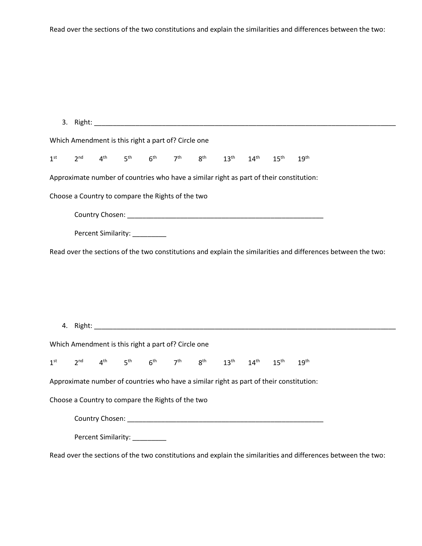Read over the sections of the two constitutions and explain the similarities and differences between the two:

|  | Which Amendment is this right a part of? Circle one |  |                                                                                                                                                                                     |  |                                                                                                               |  |
|--|-----------------------------------------------------|--|-------------------------------------------------------------------------------------------------------------------------------------------------------------------------------------|--|---------------------------------------------------------------------------------------------------------------|--|
|  |                                                     |  | $1^{\text{st}}$ $2^{\text{nd}}$ $4^{\text{th}}$ $5^{\text{th}}$ $6^{\text{th}}$ $7^{\text{th}}$ $8^{\text{th}}$ $13^{\text{th}}$ $14^{\text{th}}$ $15^{\text{th}}$ $19^{\text{th}}$ |  |                                                                                                               |  |
|  |                                                     |  |                                                                                                                                                                                     |  | Approximate number of countries who have a similar right as part of their constitution:                       |  |
|  | Choose a Country to compare the Rights of the two   |  |                                                                                                                                                                                     |  |                                                                                                               |  |
|  |                                                     |  |                                                                                                                                                                                     |  |                                                                                                               |  |
|  | Percent Similarity: _________                       |  |                                                                                                                                                                                     |  |                                                                                                               |  |
|  |                                                     |  |                                                                                                                                                                                     |  | Read over the sections of the two constitutions and explain the similarities and differences between the two: |  |
|  |                                                     |  |                                                                                                                                                                                     |  |                                                                                                               |  |
|  |                                                     |  |                                                                                                                                                                                     |  |                                                                                                               |  |
|  |                                                     |  |                                                                                                                                                                                     |  |                                                                                                               |  |
|  |                                                     |  |                                                                                                                                                                                     |  |                                                                                                               |  |
|  | Which Amendment is this right a part of? Circle one |  |                                                                                                                                                                                     |  |                                                                                                               |  |
|  |                                                     |  | $1^{st}$ $2^{nd}$ $4^{th}$ $5^{th}$ $6^{th}$ $7^{th}$ $8^{th}$ $13^{th}$ $14^{th}$ $15^{th}$ $19^{th}$                                                                              |  |                                                                                                               |  |
|  |                                                     |  |                                                                                                                                                                                     |  | Approximate number of countries who have a similar right as part of their constitution:                       |  |
|  | Choose a Country to compare the Rights of the two   |  |                                                                                                                                                                                     |  |                                                                                                               |  |
|  |                                                     |  |                                                                                                                                                                                     |  |                                                                                                               |  |
|  | Percent Similarity: __________                      |  |                                                                                                                                                                                     |  |                                                                                                               |  |
|  |                                                     |  |                                                                                                                                                                                     |  | Read over the sections of the two constitutions and explain the similarities and differences between the two: |  |